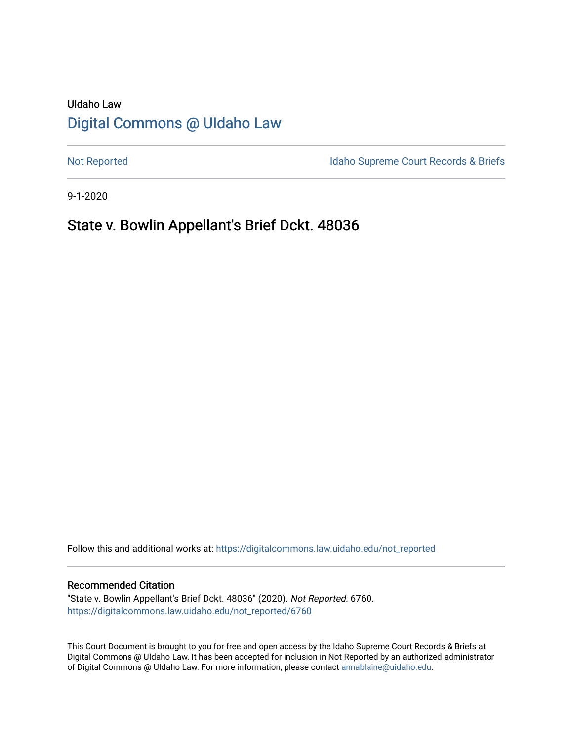# UIdaho Law [Digital Commons @ UIdaho Law](https://digitalcommons.law.uidaho.edu/)

[Not Reported](https://digitalcommons.law.uidaho.edu/not_reported) **Idaho Supreme Court Records & Briefs** 

9-1-2020

# State v. Bowlin Appellant's Brief Dckt. 48036

Follow this and additional works at: [https://digitalcommons.law.uidaho.edu/not\\_reported](https://digitalcommons.law.uidaho.edu/not_reported?utm_source=digitalcommons.law.uidaho.edu%2Fnot_reported%2F6760&utm_medium=PDF&utm_campaign=PDFCoverPages) 

#### Recommended Citation

"State v. Bowlin Appellant's Brief Dckt. 48036" (2020). Not Reported. 6760. [https://digitalcommons.law.uidaho.edu/not\\_reported/6760](https://digitalcommons.law.uidaho.edu/not_reported/6760?utm_source=digitalcommons.law.uidaho.edu%2Fnot_reported%2F6760&utm_medium=PDF&utm_campaign=PDFCoverPages)

This Court Document is brought to you for free and open access by the Idaho Supreme Court Records & Briefs at Digital Commons @ UIdaho Law. It has been accepted for inclusion in Not Reported by an authorized administrator of Digital Commons @ UIdaho Law. For more information, please contact [annablaine@uidaho.edu](mailto:annablaine@uidaho.edu).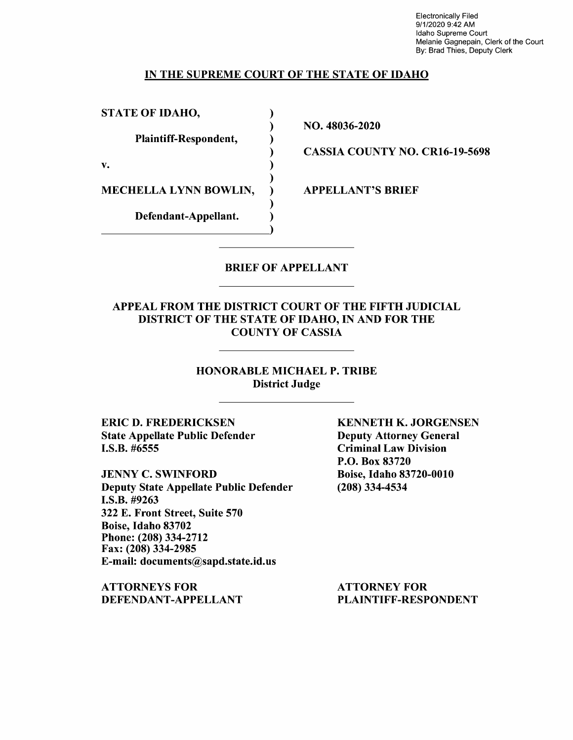Electronically Filed 9/1/2020 9:42 AM Idaho Supreme Court Melanie Gagnepain, Clerk of the Court By: Brad Thies, Deputy Clerk

### IN THE SUPREME COURT OF THE STATE OF IDAHO

)

)

)

)

STATE OF IDAHO,

Plaintiff-Respondent, )

 $\mathbf{v.}$  )

MECHELLA LYNN BOWLIN,

Defendant-Appellant. Defendant-Appellant. NO. 48036-2020

CASSIA COUNTY NO. CR16-19-5698

APPELLANT'S BRIEF

## BRIEF OF APPELLANT

### APPEAL FROM THE DISTRICT COURT OF THE FIFTH JUDICIAL DISTRICT OF THE STATE OF IDAHO, IN AND FOR THE COUNTY OF CASSIA

HONORABLE MICHAEL P. TRIBE District Judge

ERIC D. FREDERICKSEN State Appellate Public Defender I.S.B. #6555

JENNY C. SWINFORD Deputy State Appellate Public Defender **I.S.B.** #9263 322 E. Front Street, Suite 570 Boise, Idaho 83702 Phone:(208)334-2712 Fax: (208) 334-2985 E-mail: documents@sapd.state.id.us

**ATTORNEYS FOR DEFENDANT-APPELLANT**  **KENNETH K. JORGENSEN**  Deputy Attorney General Criminal Law Division P.O. Box 83720 Boise, Idaho 83720-0010 (208) 334-4534

ATTORNEY FOR PLAINTIFF-RESPONDENT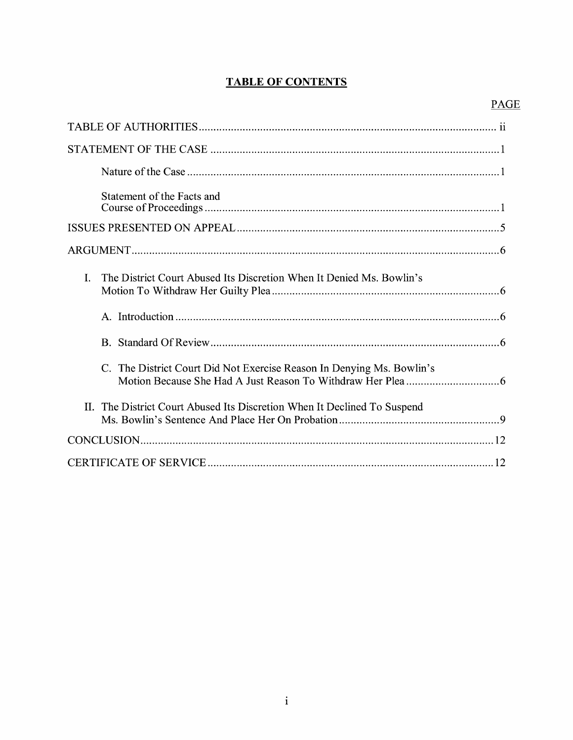## **TABLE OF CONTENTS**

| Statement of the Facts and                                                 |
|----------------------------------------------------------------------------|
|                                                                            |
|                                                                            |
| The District Court Abused Its Discretion When It Denied Ms. Bowlin's<br>L. |
|                                                                            |
|                                                                            |
| C. The District Court Did Not Exercise Reason In Denying Ms. Bowlin's      |
| The District Court Abused Its Discretion When It Declined To Suspend<br>H. |
|                                                                            |
|                                                                            |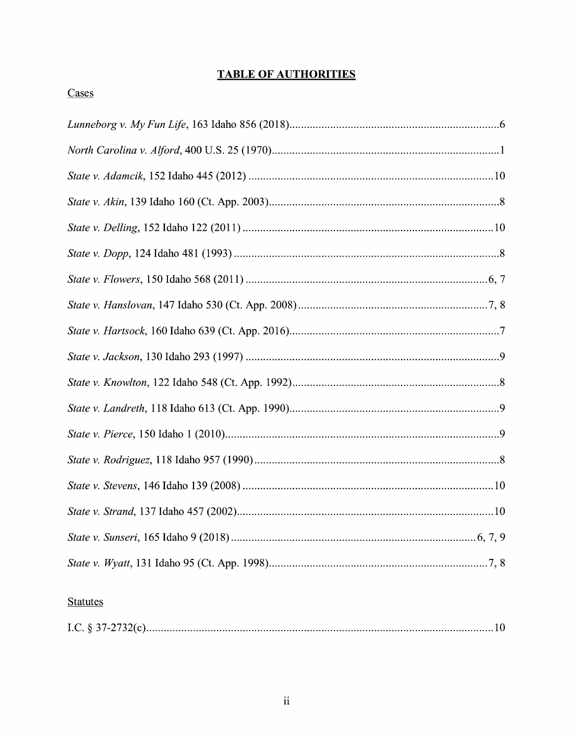## **TABLE OF AUTHORITIES**

## Cases

## **Statutes**

|--|--|--|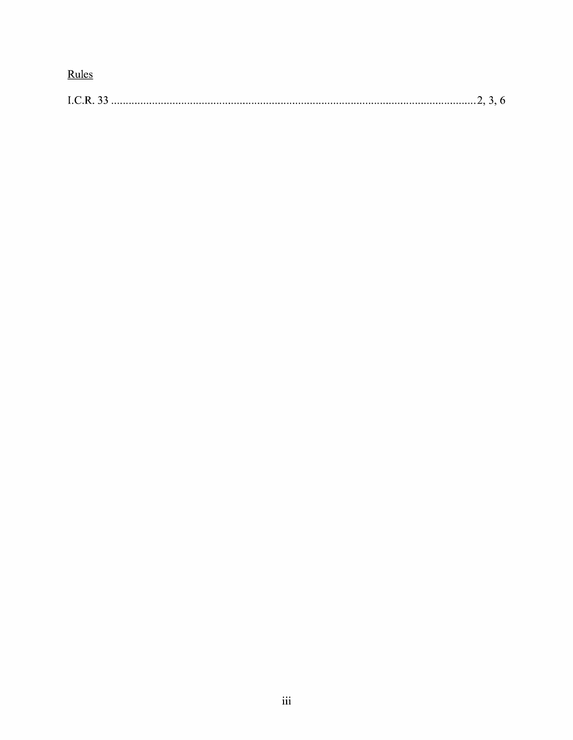Rules

|--|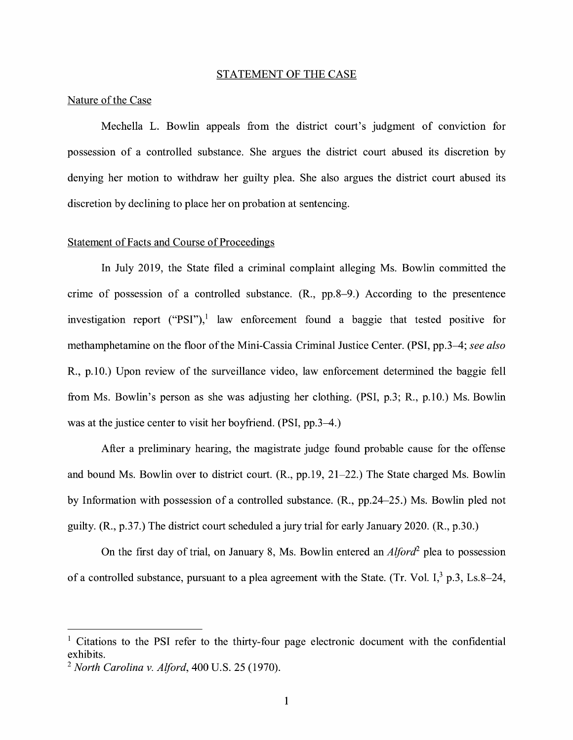#### STATEMENT OF THE CASE

#### Nature of the Case

Mechella L. Bowlin appeals from the district court's judgment of conviction for possession of a controlled substance. She argues the district court abused its discretion by denying her motion to withdraw her guilty plea. She also argues the district court abused its discretion by declining to place her on probation at sentencing.

#### Statement of Facts and Course of Proceedings

In July 2019, the State filed a criminal complaint alleging Ms. Bowlin committed the crime of possession of a controlled substance.  $(R_{n}, pp.8-9_{n})$  According to the presentence investigation report ("PSI"),<sup>1</sup> law enforcement found a baggie that tested positive for methamphetamine on the floor of the Mini-Cassia Criminal Justice Center. **(PSI,** pp.3-4; *see also*  R., p.10.) Upon review of the surveillance video, law enforcement determined the baggie fell from Ms. Bowlin's person as she was adjusting her clothing. **(PSI,** p.3; R., p.10.) Ms. Bowlin was at the justice center to visit her boyfriend. **(PSI,** pp.3-4.)

After a preliminary hearing, the magistrate judge found probable cause for the offense and bound Ms. Bowlin over to district court. **(R.,** pp.19, 21-22.) The State charged Ms. Bowlin by Information with possession of a controlled substance. (R., pp.24-25.) Ms. Bowlin pled not guilty. (R., p.37.) The district court scheduled a jury trial for early January 2020. (R., p.30.)

On the first day of trial, on January 8, Ms. Bowlin entered an *Alford2* plea to possession of a controlled substance, pursuant to a plea agreement with the State. (Tr. Vol. I, $^3$  p.3, Ls.8-24,

 $1$  Citations to the PSI refer to the thirty-four page electronic document with the confidential exhibits.

<sup>2</sup>*North Carolina v. Alford,* 400 U.S. 25 (1970).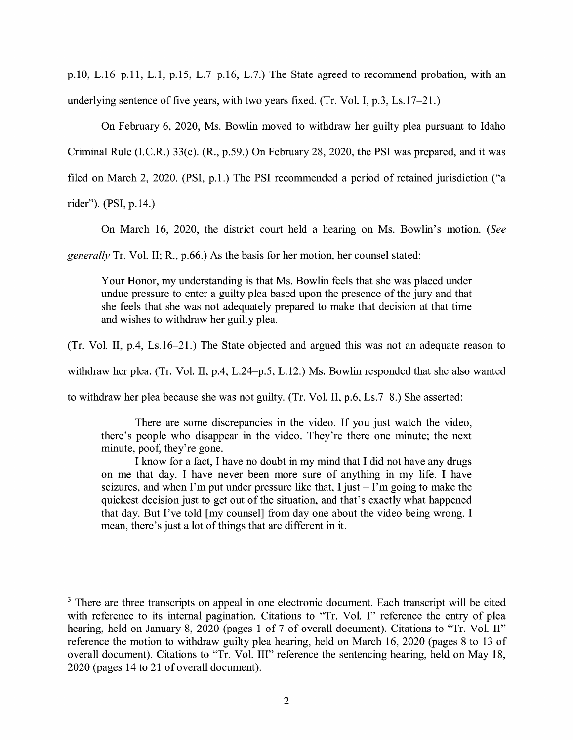p.10, L.16-p.11, L.1, p.15, L.7-p.16, L.7.) The State agreed to recommend probation, with an underlying sentence of five years, with two years fixed. (Tr. Vol. I, p.3, Ls.17-21.)

On February 6, 2020, Ms. Bowlin moved to withdraw her guilty plea pursuant to Idaho Criminal Rule (I.C.R.) 33(c). (R., p.59.) On February 28, 2020, the PSI was prepared, and it was filed on March 2, 2020. (PSI, p.1.) The PSI recommended a period of retained jurisdiction ("a rider"). (PSI, p.14.)

On March 16, 2020, the district court held a hearing on Ms. Bowlin's motion. *(See* 

*generally* Tr. Vol. II; R., p.66.) As the basis for her motion, her counsel stated:

Your Honor, my understanding is that Ms. Bowlin feels that she was placed under undue pressure to enter a guilty plea based upon the presence of the jury and that she feels that she was not adequately prepared to make that decision at that time and wishes to withdraw her guilty plea.

(Tr. Vol. II, p.4, Ls.16-21.) The State objected and argued this was not an adequate reason to

withdraw her plea. (Tr. Vol. II, p.4, L.24-p.5, L.12.) Ms. Bowlin responded that she also wanted

to withdraw her plea because she was not guilty. (Tr. Vol. II, p.6, Ls.7-8.) She asserted:

There are some discrepancies in the video. If you just watch the video, there's people who disappear in the video. They're there one minute; the next minute, poof, they're gone.

I know for a fact, I have no doubt in my mind that I did not have any drugs on me that day. I have never been more sure of anything in my life. I have seizures, and when I'm put under pressure like that, I just  $-1$ 'm going to make the quickest decision just to get out of the situation, and that's exactly what happened that day. But I've told [my counsel] from day one about the video being wrong. I mean, there's just a lot of things that are different in it.

<sup>&</sup>lt;sup>3</sup> There are three transcripts on appeal in one electronic document. Each transcript will be cited with reference to its internal pagination. Citations to "Tr. Vol. I" reference the entry of plea hearing, held on January 8, 2020 (pages 1 of 7 of overall document). Citations to "Tr. Vol. II" reference the motion to withdraw guilty plea hearing, held on March 16, 2020 (pages 8 to 13 of overall document). Citations to "Tr. Vol. III" reference the sentencing hearing, held on May 18, 2020 (pages 14 to 21 of overall document).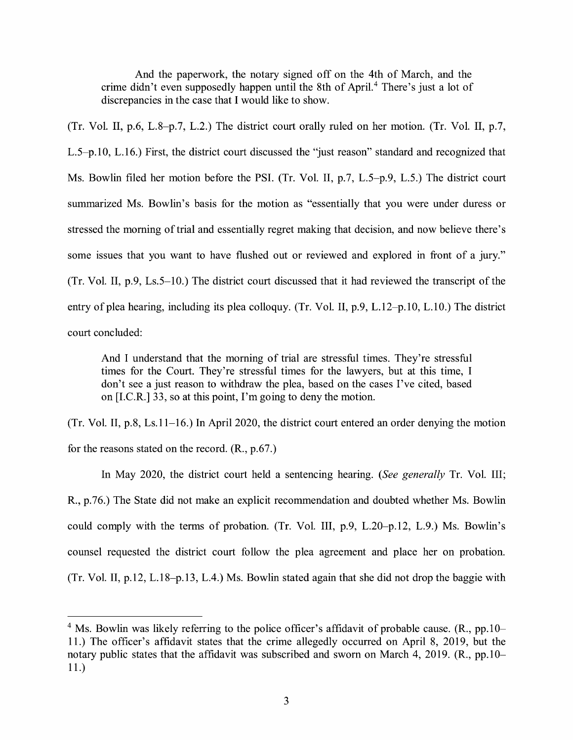And the paperwork, the notary signed off on the 4th of March, and the crime didn't even supposedly happen until the 8th of April.<sup>4</sup> There's just a lot of discrepancies in the case that I would like to show.

(Tr. Vol. II, p.6, L.8-p.7, L.2.) The district court orally ruled on her motion. (Tr. Vol. II, p.7, L.5-p.10, L.16.) First, the district court discussed the "just reason" standard and recognized that Ms. Bowlin filed her motion before the PSI. (Tr. Vol. II, p.7, L.5-p.9, L.5.) The district court summarized Ms. Bowlin's basis for the motion as "essentially that you were under duress or stressed the morning of trial and essentially regret making that decision, and now believe there's some issues that you want to have flushed out or reviewed and explored in front of a jury." (Tr. Vol. II, p.9, Ls.5-10.) The district court discussed that it had reviewed the transcript of the entry of plea hearing, including its plea colloquy. (Tr. Vol. II, p.9, L.12-p.10, L.10.) The district court concluded:

And I understand that the morning of trial are stressful times. They're stressful times for the Court. They're stressful times for the lawyers, but at this time, I don't see a just reason to withdraw the plea, based on the cases I've cited, based on [I.C.R.] 33, so at this point, I'm going to deny the motion.

(Tr. Vol. II, p.8, Ls.11-16.) In April 2020, the district court entered an order denying the motion for the reasons stated on the record. (R., p.67.)

In May 2020, the district court held a sentencing hearing. *(See generally* Tr. Vol. III; **R.,** p.76.) The State did not make an explicit recommendation and doubted whether Ms. Bowlin could comply with the terms of probation. (Tr. Vol. III, p.9, L.20-p.12, L.9.) Ms. Bowlin's counsel requested the district court follow the plea agreement and place her on probation. (Tr. Vol. II, p.12, L.18-p.13, L.4.) Ms. Bowlin stated again that she did not drop the baggie with

<sup>&</sup>lt;sup>4</sup> Ms. Bowlin was likely referring to the police officer's affidavit of probable cause. (R., pp.10– 11.) The officer's affidavit states that the crime allegedly occurred on April 8, 2019, but the notary public states that the affidavit was subscribed and sworn on March 4, 2019. **(R.,** pp.10- 11.)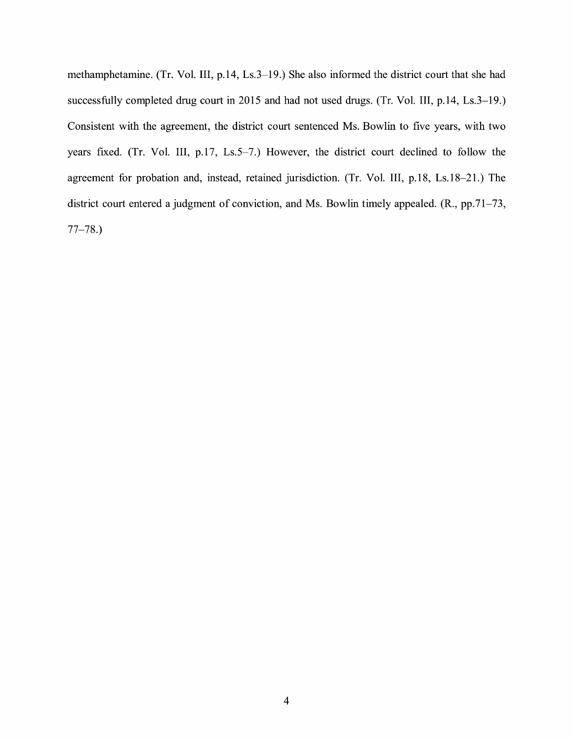methamphetamine. (Tr. Vol. III, p.14, Ls.3-19.) She also informed the district court that she had successfully completed drug court in 2015 and had not used drugs. (Tr. Vol. III, p.14, Ls.3–19.) Consistent with the agreement, the district court sentenced Ms. Bowlin to five years, with two years fixed. (Tr. Vol. III, p.17, Ls.5-7.) However, the district court declined to follow the agreement for probation and, instead, retained jurisdiction. (Tr. Vol. III, p.18, Ls.18-21.) The district court entered a judgment of conviction, and Ms. Bowlin timely appealed. (R., pp.71–73, 77-78.)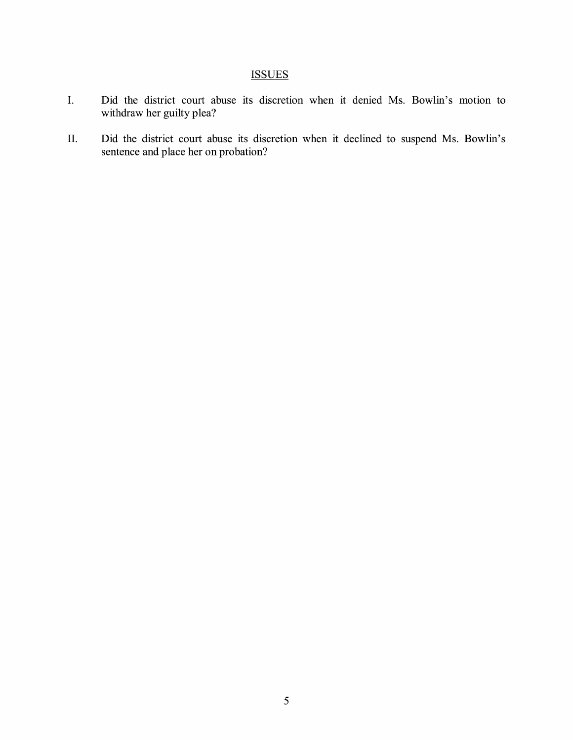## **ISSUES**

- I. Did the district court abuse its discretion when it denied Ms. Bowlin's motion to withdraw her guilty plea?
- II. Did the district court abuse its discretion when it declined to suspend Ms. Bowlin's sentence and place her on probation?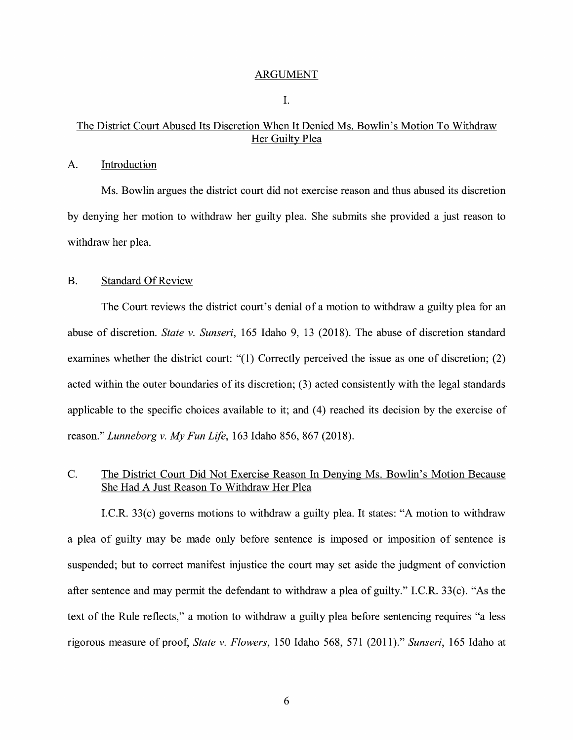#### ARGUMENT

I.

## The District Court Abused Its Discretion When It Denied Ms. Bowlin's Motion To Withdraw Her Guilty Plea

#### A. Introduction

Ms. Bowlin argues the district court did not exercise reason and thus abused its discretion by denying her motion to withdraw her guilty plea. She submits she provided a just reason to withdraw her plea.

#### B. Standard Of Review

The Court reviews the district court's denial of a motion to withdraw a guilty plea for an abuse of discretion. *State v. Sunseri,* 165 Idaho 9, 13 (2018). The abuse of discretion standard examines whether the district court: " $(1)$  Correctly perceived the issue as one of discretion;  $(2)$ acted within the outer boundaries of its discretion; (3) acted consistently with the legal standards applicable to the specific choices available to it; and (4) reached its decision by the exercise of reason." *Lunneborg v. My Fun Life,* 163 Idaho 856, 867 (2018).

## C. The District Court Did Not Exercise Reason In Denying Ms. Bowlin's Motion Because She Had A Just Reason To Withdraw Her Plea

I.C.R. 33(c) governs motions to withdraw a guilty plea. It states: "A motion to withdraw a plea of guilty may be made only before sentence is imposed or imposition of sentence is suspended; but to correct manifest injustice the court may set aside the judgment of conviction after sentence and may permit the defendant to withdraw a plea of guilty." I.C.R. 33(c). "As the text of the Rule reflects," a motion to withdraw a guilty plea before sentencing requires "a less rigorous measure of proof, *State v. Flowers,* 150 Idaho 568, 571 (2011)." *Sunseri,* 165 Idaho at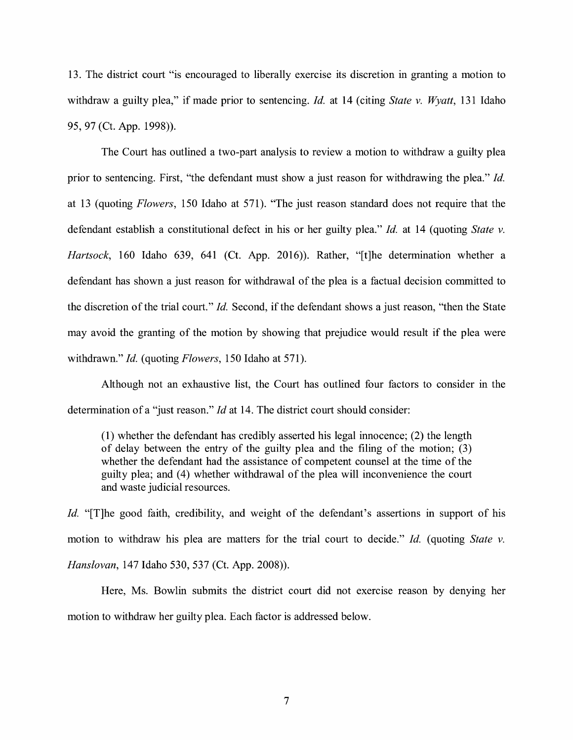13. The district court "is encouraged to liberally exercise its discretion in granting a motion to withdraw a guilty plea," if made prior to sentencing. *Id.* at 14 (citing *State v. Wyatt*, 131 Idaho 95, 97 (Ct. App. 1998)).

The Court has outlined a two-part analysis to review a motion to withdraw a guilty plea prior to sentencing. First, "the defendant must show a just reason for withdrawing the plea." *Id.*  at 13 (quoting *Flowers,* 150 Idaho at 571). "The just reason standard does not require that the defendant establish a constitutional defect in his or her guilty plea." *Id.* at 14 (quoting *State v. Hartsock,* 160 Idaho 639, 641 (Ct. App. 2016)). Rather, "[t]he determination whether a defendant has shown a just reason for withdrawal of the plea is a factual decision committed to the discretion of the trial court." *Id.* Second, if the defendant shows a just reason, "then the State may avoid the granting of the motion by showing that prejudice would result if the plea were withdrawn." *Id.* (quoting *Flowers,* 150 Idaho at 571).

Although not an exhaustive list, the Court has outlined four factors to consider in the determination of a "just reason." *Id* at 14. The district court should consider:

(1) whether the defendant has credibly asserted his legal innocence; (2) the length of delay between the entry of the guilty plea and the filing of the motion; (3) whether the defendant had the assistance of competent counsel at the time of the guilty plea; and (4) whether withdrawal of the plea will inconvenience the court and waste judicial resources.

*Id.* "[T]he good faith, credibility, and weight of the defendant's assertions in support of his motion to withdraw his plea are matters for the trial court to decide." *Id.* ( quoting *State v. Hanslovan,* 147 Idaho 530, 537 (Ct. App. 2008)).

Here, Ms. Bowlin submits the district court did not exercise reason by denying her motion to withdraw her guilty plea. Each factor is addressed below.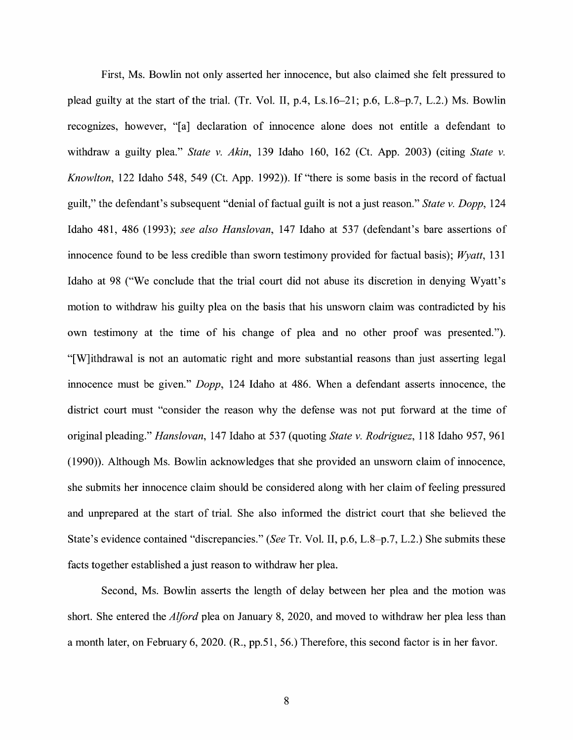First, Ms. Bowlin not only asserted her innocence, but also claimed she felt pressured to plead guilty at the start of the trial. (Tr. Vol. II, p.4, Ls.16-21; p.6, L.8-p.7, L.2.) Ms. Bowlin recognizes, however, "[a] declaration of innocence alone does not entitle a defendant to withdraw a guilty plea." *State v. Akin*, 139 Idaho 160, 162 (Ct. App. 2003) (citing *State v. Knowlton,* 122 Idaho 548, 549 (Ct. App. 1992)). If "there is some basis in the record of factual guilt," the defendant's subsequent "denial of factual guilt is not a just reason." *State v. Dopp,* 124 Idaho 481, 486 (1993); *see also Hanslovan,* 147 Idaho at 537 (defendant's bare assertions of innocence found to be less credible than sworn testimony provided for factual basis); *Wyatt,* 131 Idaho at 98 ("We conclude that the trial court did not abuse its discretion in denying Wyatt's motion to withdraw his guilty plea on the basis that his unswom claim was contradicted by his own testimony at the time of his change of plea and no other proof was presented."). "[W] ithdrawal is not an automatic right and more substantial reasons than just asserting legal innocence must be given." *Dopp,* 124 Idaho at 486. When a defendant asserts innocence, the district court must "consider the reason why the defense was not put forward at the time of original pleading." *Hanslovan,* 147 Idaho at 537 (quoting *State v. Rodriguez,* 118 Idaho 957, 961 (1990)). Although Ms. Bowlin acknowledges that she provided an unswom claim of innocence, she submits her innocence claim should be considered along with her claim of feeling pressured and unprepared at the start of trial. She also informed the district court that she believed the State's evidence contained "discrepancies." *(See* Tr. Vol. II, p.6, L.8-p.7, L.2.) She submits these facts together established a just reason to withdraw her plea.

Second, Ms. Bowlin asserts the length of delay between her plea and the motion was short. She entered the *Alford* plea on January 8, 2020, and moved to withdraw her plea less than a month later, on February 6, 2020. (R., pp.51, 56.) Therefore, this second factor is in her favor.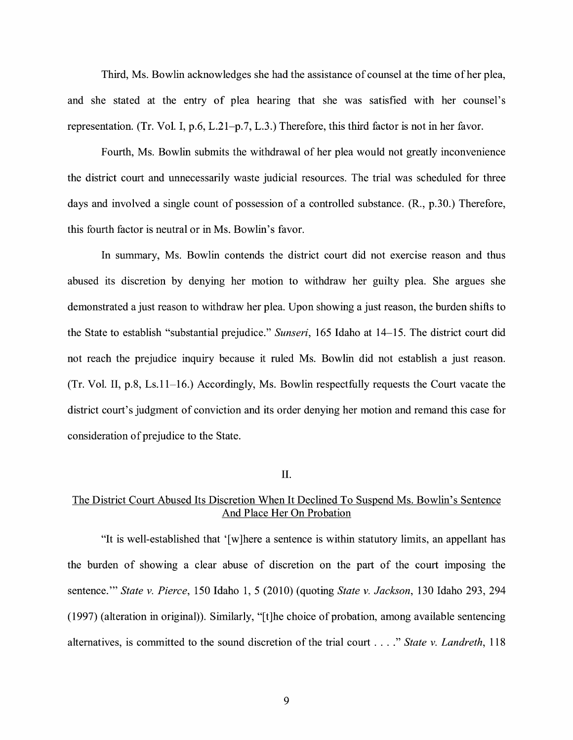Third, Ms. Bowlin acknowledges she had the assistance of counsel at the time of her plea, and she stated at the entry of plea hearing that she was satisfied with her counsel's representation. (Tr. Vol. I, p.6, L.21-p.7, L.3.) Therefore, this third factor is not in her favor.

Fourth, Ms. Bowlin submits the withdrawal of her plea would not greatly inconvenience the district court and unnecessarily waste judicial resources. The trial was scheduled for three days and involved a single count of possession of a controlled substance. (R., p.30.) Therefore, this fourth factor is neutral or in Ms. Bowlin's favor.

In summary, Ms. Bowlin contends the district court did not exercise reason and thus abused its discretion by denying her motion to withdraw her guilty plea. She argues she demonstrated a just reason to withdraw her plea. Upon showing a just reason, the burden shifts to the State to establish "substantial prejudice." *Sunseri,* 165 Idaho at 14-15. The district court did not reach the prejudice inquiry because it ruled Ms. Bowlin did not establish a just reason. (Tr. Vol. II, p.8, Ls.11-16.) Accordingly, Ms. Bowlin respectfully requests the Court vacate the district court's judgment of conviction and its order denying her motion and remand this case for consideration of prejudice to the State.

#### II.

## The District Court Abused Its Discretion When It Declined To Suspend Ms. Bowlin's Sentence And Place Her On Probation

"It is well-established that ' [ w ]here a sentence is within statutory limits, an appellant has the burden of showing a clear abuse of discretion on the part of the court imposing the sentence."' *State v. Pierce,* 150 Idaho 1, 5 (2010) (quoting *State v. Jackson,* 130 Idaho 293, 294 (1997) (alteration in original)). Similarly, "[t]he choice of probation, among available sentencing alternatives, is committed to the sound discretion of the trial court .... " *State v. Landreth,* <sup>118</sup>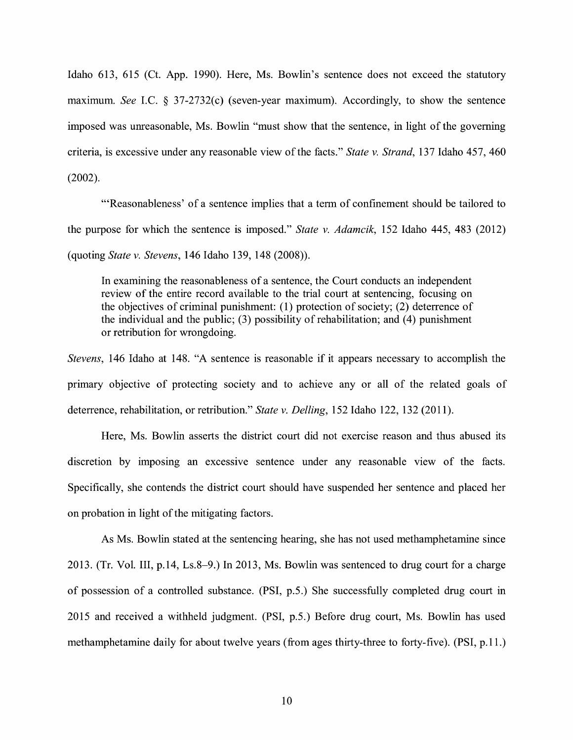Idaho 613, 615 (Ct. App. 1990). Here, Ms. Bowlin's sentence does not exceed the statutory maximum. *See* I.C. § 37-2732(c) (seven-year maximum). Accordingly, to show the sentence imposed was unreasonable, Ms. Bowlin "must show that the sentence, in light of the governing criteria, is excessive under any reasonable view of the facts." *State v. Strand,* 137 Idaho 457, 460 (2002).

"'Reasonableness' of a sentence implies that a term of confinement should be tailored to the purpose for which the sentence is imposed." *State v. Adamcik,* 152 Idaho 445, 483 (2012) (quoting *State v. Stevens,* 146 Idaho 139, 148 (2008)).

In examining the reasonableness of a sentence, the Court conducts an independent review of the entire record available to the trial court at sentencing, focusing on the objectives of criminal punishment: (1) protection of society; (2) deterrence of the individual and the public;  $(3)$  possibility of rehabilitation; and  $(4)$  punishment or retribution for wrongdoing.

*Stevens,* 146 Idaho at 148. "A sentence is reasonable if it appears necessary to accomplish the primary objective of protecting society and to achieve any or all of the related goals of deterrence, rehabilitation, or retribution." *State v. Delling,* 152 Idaho 122, 132 (2011).

Here, Ms. Bowlin asserts the district court did not exercise reason and thus abused its discretion by imposing an excessive sentence under any reasonable view of the facts. Specifically, she contends the district court should have suspended her sentence and placed her on probation in light of the mitigating factors.

As Ms. Bowlin stated at the sentencing hearing, she has not used methamphetamine since 2013. (Tr. Vol. III, p.14, Ls.8-9.) In 2013, Ms. Bowlin was sentenced to drug court for a charge of possession of a controlled substance. **(PSI,** p.5.) She successfully completed drug court in 2015 and received a withheld judgment. (PSI, p.5.) Before drug court, Ms. Bowlin has used methamphetamine daily for about twelve years (from ages thirty-three to forty-five). (PSI, p.11.)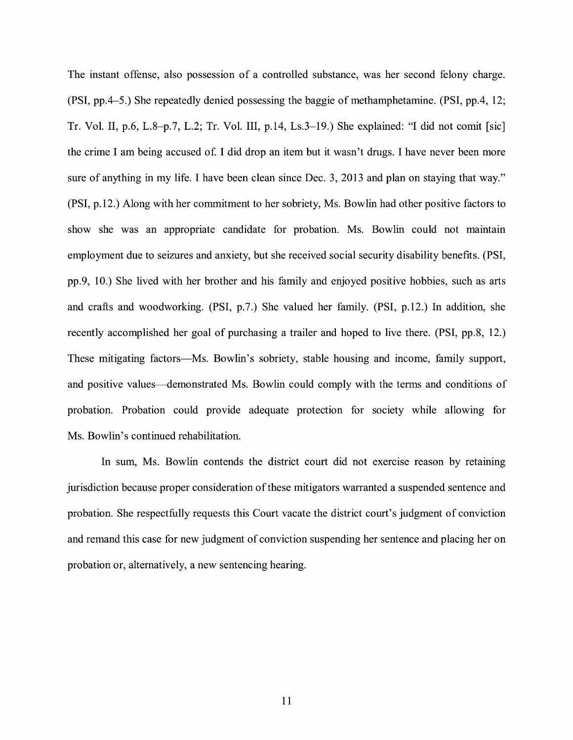The instant offense, also possession of a controlled substance, was her second felony charge. (PSI, pp.4-5.) She repeatedly denied possessing the baggie of methamphetamine. (PSI, pp.4, 12; Tr. Vol. II, p.6, L.8-p.7, L.2; Tr. Vol. III, p.14, Ls.3-19.) She explained: "I did not comit [sic] the crime I am being accused of. I did drop an item but it wasn't drugs. I have never been more sure of anything in my life. I have been clean since Dec. 3, 2013 and plan on staying that way." **(PSI,** p.12.) Along with her commitment to her sobriety, Ms. Bowlin had other positive factors to show she was an appropriate candidate for probation. Ms. Bowlin could not maintain employment due to seizures and anxiety, but she received social security disability benefits. (PSI, pp.9, 10.) She lived with her brother and his family and enjoyed positive hobbies, such as arts and crafts and woodworking. (PSI, p.7.) She valued her family. (PSI, p.12.) In addition, she recently accomplished her goal of purchasing a trailer and hoped to live there. (PSI, pp.8, 12.) These mitigating factors—Ms. Bowlin's sobriety, stable housing and income, family support, and positive values-demonstrated Ms. Bowlin could comply with the terms and conditions of probation. Probation could provide adequate protection for society while allowing for Ms. Bowlin's continued rehabilitation.

In sum, Ms. Bowlin contends the district court did not exercise reason by retaining jurisdiction because proper consideration of these mitigators warranted a suspended sentence and probation. She respectfully requests this Court vacate the district court's judgment of conviction and remand this case for new judgment of conviction suspending her sentence and placing her on probation or, alternatively, a new sentencing hearing.